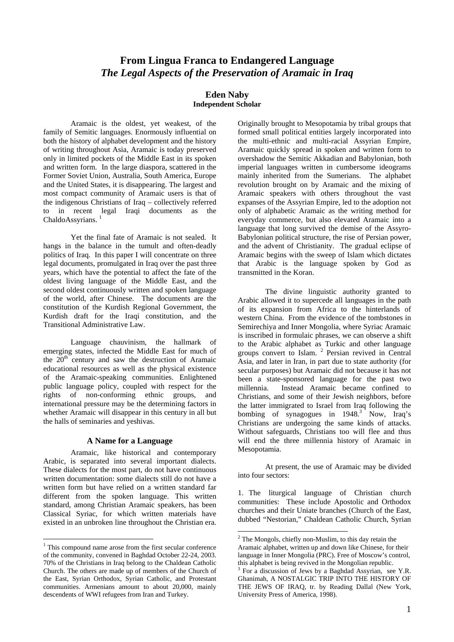# **From Lingua Franca to Endangered Language**  *The Legal Aspects of the Preservation of Aramaic in Iraq*

#### **Eden Naby Independent Scholar**

Aramaic is the oldest, yet weakest, of the family of Semitic languages. Enormously influential on both the history of alphabet development and the history of writing throughout Asia, Aramaic is today preserved only in limited pockets of the Middle East in its spoken and written form. In the large diaspora, scattered in the Former Soviet Union, Australia, South America, Europe and the United States, it is disappearing. The largest and most compact community of Aramaic users is that of the indigenous Christians of Iraq – collectively referred to in recent legal Iraqi documents as the ChaldoAssyrians.<sup>1</sup>

Yet the final fate of Aramaic is not sealed. It hangs in the balance in the tumult and often-deadly politics of Iraq. In this paper I will concentrate on three legal documents, promulgated in Iraq over the past three years, which have the potential to affect the fate of the oldest living language of the Middle East, and the second oldest continuously written and spoken language of the world, after Chinese. The documents are the constitution of the Kurdish Regional Government, the Kurdish draft for the Iraqi constitution, and the Transitional Administrative Law.

Language chauvinism, the hallmark of emerging states, infected the Middle East for much of the  $20<sup>th</sup>$  century and saw the destruction of Aramaic educational resources as well as the physical existence of the Aramaic-speaking communities. Enlightened public language policy, coupled with respect for the rights of non-conforming ethnic groups, and international pressure may be the determining factors in whether Aramaic will disappear in this century in all but the halls of seminaries and yeshivas.

#### **A Name for a Language**

Aramaic, like historical and contemporary Arabic, is separated into several important dialects. These dialects for the most part, do not have continuous written documentation: some dialects still do not have a written form but have relied on a written standard far different from the spoken language. This written standard, among Christian Aramaic speakers, has been Classical Syriac, for which written materials have existed in an unbroken line throughout the Christian era.

 $\overline{a}$ 

Originally brought to Mesopotamia by tribal groups that formed small political entities largely incorporated into the multi-ethnic and multi-racial Assyrian Empire, Aramaic quickly spread in spoken and written form to overshadow the Semitic Akkadian and Babylonian, both imperial languages written in cumbersome ideograms mainly inherited from the Sumerians. The alphabet revolution brought on by Aramaic and the mixing of Aramaic speakers with others throughout the vast expanses of the Assyrian Empire, led to the adoption not only of alphabetic Aramaic as the writing method for everyday commerce, but also elevated Aramaic into a language that long survived the demise of the Assyro-Babylonian political structure, the rise of Persian power, and the advent of Christianity. The gradual eclipse of Aramaic begins with the sweep of Islam which dictates that Arabic is the language spoken by God as transmitted in the Koran.

The divine linguistic authority granted to Arabic allowed it to supercede all languages in the path of its expansion from Africa to the hinterlands of western China. From the evidence of the tombstones in Semirechiya and Inner Mongolia, where Syriac Aramaic is inscribed in formulaic phrases, we can observe a shift to the Arabic alphabet as Turkic and other language groups convert to Islam. <sup>2</sup> Persian revived in Central Asia, and later in Iran, in part due to state authority (for secular purposes) but Aramaic did not because it has not been a state-sponsored language for the past two millennia. Instead Aramaic became confined to Christians, and some of their Jewish neighbors, before the latter immigrated to Israel from Iraq following the bombing of synagogues in 1948. 3 Now, Iraq's Christians are undergoing the same kinds of attacks. Without safeguards, Christians too will flee and thus will end the three millennia history of Aramaic in Mesopotamia.

At present, the use of Aramaic may be divided into four sectors:

1. The liturgical language of Christian church communities: These include Apostolic and Orthodox churches and their Uniate branches (Church of the East, dubbed "Nestorian," Chaldean Catholic Church, Syrian

<sup>&</sup>lt;sup>1</sup> This compound name arose from the first secular conference of the community, convened in Baghdad October 22-24, 2003. 70% of the Christians in Iraq belong to the Chaldean Catholic Church. The others are made up of members of the Church of the East, Syrian Orthodox, Syrian Catholic, and Protestant communities. Armenians amount to about 20,000, mainly descendents of WWI refugees from Iran and Turkey.

 $2$  The Mongols, chiefly non-Muslim, to this day retain the Aramaic alphabet, written up and down like Chinese, for their language in Inner Mongolia (PRC). Free of Moscow's control, this alphabet is being revived in the Mongolian republic.

For a discussion of Jews by a Baghdad Assyrian, see Y.R. Ghanimah, A NOSTALGIC TRIP INTO THE HISTORY OF THE JEWS OF IRAQ, tr. by Reading Dallal (New York, University Press of America, 1998).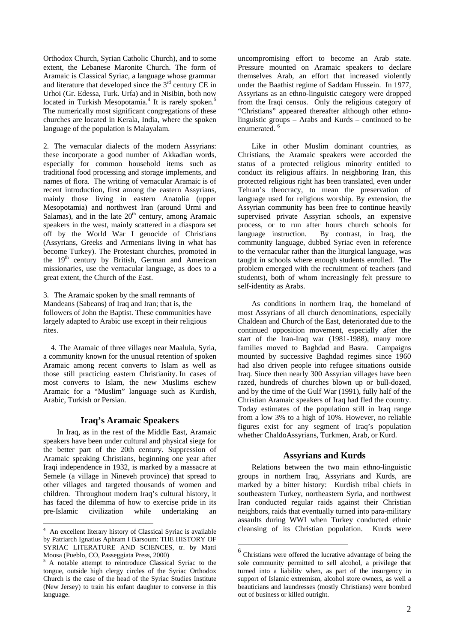Orthodox Church, Syrian Catholic Church), and to some extent, the Lebanese Maronite Church. The form of Aramaic is Classical Syriac, a language whose grammar and literature that developed since the 3rd century CE in Urhoi (Gr. Edessa, Turk. Urfa) and in Nisibin, both now located in Turkish Mesopotamia.<sup>4</sup> It is rarely spoken.<sup>5</sup> The numerically most significant congregations of these churches are located in Kerala, India, where the spoken language of the population is Malayalam.

2. The vernacular dialects of the modern Assyrians: these incorporate a good number of Akkadian words, especially for common household items such as traditional food processing and storage implements, and names of flora. The writing of vernacular Aramaic is of recent introduction, first among the eastern Assyrians, mainly those living in eastern Anatolia (upper Mesopotamia) and northwest Iran (around Urmi and Salamas), and in the late  $20<sup>th</sup>$  century, among Aramaic speakers in the west, mainly scattered in a diaspora set off by the World War I genocide of Christians (Assyrians, Greeks and Armenians living in what has become Turkey). The Protestant churches, promoted in the 19<sup>th</sup> century by British, German and American missionaries, use the vernacular language, as does to a great extent, the Church of the East.

3. The Aramaic spoken by the small remnants of Mandeans (Sabeans) of Iraq and Iran; that is, the followers of John the Baptist. These communities have largely adapted to Arabic use except in their religious rites.

4. The Aramaic of three villages near Maalula, Syria, a community known for the unusual retention of spoken Aramaic among recent converts to Islam as well as those still practicing eastern Christianity. In cases of most converts to Islam, the new Muslims eschew Aramaic for a "Muslim" language such as Kurdish, Arabic, Turkish or Persian.

## **Iraq's Aramaic Speakers**

In Iraq, as in the rest of the Middle East, Aramaic speakers have been under cultural and physical siege for the better part of the 20th century. Suppression of Aramaic speaking Christians, beginning one year after Iraqi independence in 1932, is marked by a massacre at Semele (a village in Nineveh province) that spread to other villages and targeted thousands of women and children. Throughout modern Iraq's cultural history, it has faced the dilemma of how to exercise pride in its pre-Islamic civilization while undertaking an

 $\overline{a}$ 

uncompromising effort to become an Arab state. Pressure mounted on Aramaic speakers to declare themselves Arab, an effort that increased violently under the Baathist regime of Saddam Hussein. In 1977, Assyrians as an ethno-linguistic category were dropped from the Iraqi census. Only the religious category of "Christians" appeared thereafter although other ethnolinguistic groups – Arabs and Kurds – continued to be enumerated. 6

Like in other Muslim dominant countries, as Christians, the Aramaic speakers were accorded the status of a protected religious minority entitled to conduct its religious affairs. In neighboring Iran, this protected religious right has been translated, even under Tehran's theocracy, to mean the preservation of language used for religious worship. By extension, the Assyrian community has been free to continue heavily supervised private Assyrian schools, an expensive process, or to run after hours church schools for language instruction. By contrast, in Iraq, the community language, dubbed Syriac even in reference to the vernacular rather than the liturgical language, was taught in schools where enough students enrolled. The problem emerged with the recruitment of teachers (and students), both of whom increasingly felt pressure to self-identity as Arabs.

As conditions in northern Iraq, the homeland of most Assyrians of all church denominations, especially Chaldean and Church of the East, deteriorated due to the continued opposition movement, especially after the start of the Iran-Iraq war (1981-1988), many more families moved to Baghdad and Basra. Campaigns mounted by successive Baghdad regimes since 1960 had also driven people into refugee situations outside Iraq. Since then nearly 300 Assyrian villages have been razed, hundreds of churches blown up or bull-dozed, and by the time of the Gulf War (1991), fully half of the Christian Aramaic speakers of Iraq had fled the country. Today estimates of the population still in Iraq range from a low 3% to a high of 10%. However, no reliable figures exist for any segment of Iraq's population whether ChaldoAssyrians, Turkmen, Arab, or Kurd.

## **Assyrians and Kurds**

Relations between the two main ethno-linguistic groups in northern Iraq, Assyrians and Kurds, are marked by a bitter history: Kurdish tribal chiefs in southeastern Turkey, northeastern Syria, and northwest Iran conducted regular raids against their Christian neighbors, raids that eventually turned into para-military assaults during WWI when Turkey conducted ethnic cleansing of its Christian population. Kurds were

 $\overline{a}$ 

<sup>4</sup> An excellent literary history of Classical Syriac is available by Patriarch Ignatius Aphram I Barsoum: THE HISTORY OF SYRIAC LITERATURE AND SCIENCES, tr. by Matti Moosa (Pueblo, CO, Passeggiata Press, 2000)

<sup>&</sup>lt;sup>5</sup> A notable attempt to reintroduce Classical Syriac to the tongue, outside high clergy circles of the Syriac Orthodox Church is the case of the head of the Syriac Studies Institute (New Jersey) to train his enfant daughter to converse in this language.

<sup>6</sup> Christians were offered the lucrative advantage of being the sole community permitted to sell alcohol, a privilege that turned into a liability when, as part of the insurgency in support of Islamic extremism, alcohol store owners, as well a beauticians and laundresses (mostly Christians) were bombed out of business or killed outright.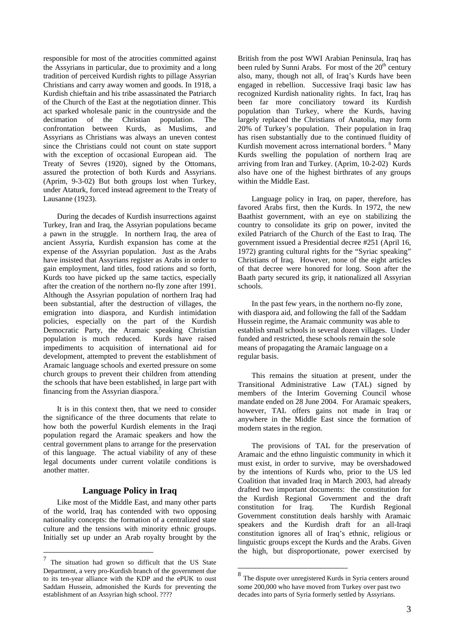responsible for most of the atrocities committed against the Assyrians in particular, due to proximity and a long tradition of perceived Kurdish rights to pillage Assyrian Christians and carry away women and goods. In 1918, a Kurdish chieftain and his tribe assassinated the Patriarch of the Church of the East at the negotiation dinner. This act sparked wholesale panic in the countryside and the decimation of the Christian population. The confrontation between Kurds, as Muslims, and Assyrians as Christians was always an uneven contest since the Christians could not count on state support with the exception of occasional European aid. The Treaty of Sevres (1920), signed by the Ottomans, assured the protection of both Kurds and Assyrians. (Aprim, 9-3-02) But both groups lost when Turkey, under Ataturk, forced instead agreement to the Treaty of Lausanne (1923).

During the decades of Kurdish insurrections against Turkey, Iran and Iraq, the Assyrian populations became a pawn in the struggle. In northern Iraq, the area of ancient Assyria, Kurdish expansion has come at the expense of the Assyrian population. Just as the Arabs have insisted that Assyrians register as Arabs in order to gain employment, land titles, food rations and so forth, Kurds too have picked up the same tactics, especially after the creation of the northern no-fly zone after 1991. Although the Assyrian population of northern Iraq had been substantial, after the destruction of villages, the emigration into diaspora, and Kurdish intimidation policies, especially on the part of the Kurdish Democratic Party, the Aramaic speaking Christian population is much reduced. Kurds have raised impediments to acquisition of international aid for development, attempted to prevent the establishment of Aramaic language schools and exerted pressure on some church groups to prevent their children from attending the schools that have been established, in large part with financing from the Assyrian diaspora.7

It is in this context then, that we need to consider the significance of the three documents that relate to how both the powerful Kurdish elements in the Iraqi population regard the Aramaic speakers and how the central government plans to arrange for the preservation of this language. The actual viability of any of these legal documents under current volatile conditions is another matter.

## **Language Policy in Iraq**

Like most of the Middle East, and many other parts of the world, Iraq has contended with two opposing nationality concepts: the formation of a centralized state culture and the tensions with minority ethnic groups. Initially set up under an Arab royalty brought by the

 $\overline{a}$ 

British from the post WWI Arabian Peninsula, Iraq has been ruled by Sunni Arabs. For most of the  $20<sup>th</sup>$  century also, many, though not all, of Iraq's Kurds have been engaged in rebellion. Successive Iraqi basic law has recognized Kurdish nationality rights. In fact, Iraq has been far more conciliatory toward its Kurdish population than Turkey, where the Kurds, having largely replaced the Christians of Anatolia, may form 20% of Turkey's population. Their population in Iraq has risen substantially due to the continued fluidity of Kurdish movement across international borders. <sup>8</sup> Many Kurds swelling the population of northern Iraq are arriving from Iran and Turkey. (Aprim, 10-2-02) Kurds also have one of the highest birthrates of any groups within the Middle East.

Language policy in Iraq, on paper, therefore, has favored Arabs first, then the Kurds. In 1972, the new Baathist government, with an eye on stabilizing the country to consolidate its grip on power, invited the exiled Patriarch of the Church of the East to Iraq. The government issued a Presidential decree #251 (April 16, 1972) granting cultural rights for the "Syriac speaking" Christians of Iraq. However, none of the eight articles of that decree were honored for long. Soon after the Baath party secured its grip, it nationalized all Assyrian schools.

In the past few years, in the northern no-fly zone, with diaspora aid, and following the fall of the Saddam Hussein regime, the Aramaic community was able to establish small schools in several dozen villages. Under funded and restricted, these schools remain the sole means of propagating the Aramaic language on a regular basis.

This remains the situation at present, under the Transitional Administrative Law (TAL) signed by members of the Interim Governing Council whose mandate ended on 28 June 2004. For Aramaic speakers, however, TAL offers gains not made in Iraq or anywhere in the Middle East since the formation of modern states in the region.

The provisions of TAL for the preservation of Aramaic and the ethno linguistic community in which it must exist, in order to survive, may be overshadowed by the intentions of Kurds who, prior to the US led Coalition that invaded Iraq in March 2003, had already drafted two important documents: the constitution for the Kurdish Regional Government and the draft constitution for Iraq. The Kurdish Regional Government constitution deals harshly with Aramaic speakers and the Kurdish draft for an all-Iraqi constitution ignores all of Iraq's ethnic, religious or linguistic groups except the Kurds and the Arabs. Given the high, but disproportionate, power exercised by

 $\overline{a}$ 

 $7$  The situation had grown so difficult that the US State Department, a very pro-Kurdish branch of the government due to its ten-year alliance with the KDP and the ePUK to oust Saddam Hussein, admonished the Kurds for preventing the establishment of an Assyrian high school. ????

<sup>8</sup> The dispute over unregistered Kurds in Syria centers around some 200,000 who have moved from Turkey over past two decades into parts of Syria formerly settled by Assyrians.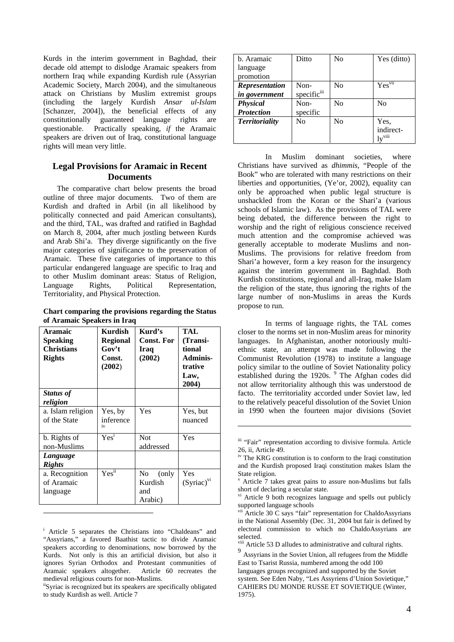Kurds in the interim government in Baghdad, their decade old attempt to dislodge Aramaic speakers from northern Iraq while expanding Kurdish rule (Assyrian Academic Society, March 2004), and the simultaneous attack on Christians by Muslim extremist groups (including the largely Kurdish *Ansar ul-Islam*  [Schanzer, 2004]), the beneficial effects of any constitutionally guaranteed language rights are questionable. Practically speaking, *if* the Aramaic speakers are driven out of Iraq, constitutional language rights will mean very little.

## **Legal Provisions for Aramaic in Recent Documents**

The comparative chart below presents the broad outline of three major documents. Two of them are Kurdish and drafted in Arbil (in all likelihood by politically connected and paid American consultants), and the third, TAL, was drafted and ratified in Baghdad on March 8, 2004, after much jostling between Kurds and Arab Shi'a. They diverge significantly on the five major categories of significance to the preservation of Aramaic. These five categories of importance to this particular endangered language are specific to Iraq and to other Muslim dominant areas: Status of Religion, Language Rights, Political Representation, Territoriality, and Physical Protection.

**Chart comparing the provisions regarding the Status of Aramaic Speakers in Iraq**

| Aramaic<br>Speaking<br><b>Christians</b><br><b>Rights</b> | Kurdish<br><b>Regional</b><br>Gov't<br>Const.<br>(2002) | Kurd's<br><b>Const. For</b><br>Iraq<br>(2002)         | TAL<br>(Transi-<br>tional<br><b>Adminis-</b><br>trative<br>Law,<br>2004) |
|-----------------------------------------------------------|---------------------------------------------------------|-------------------------------------------------------|--------------------------------------------------------------------------|
| Status of<br>religion                                     |                                                         |                                                       |                                                                          |
| a. Islam religion<br>of the State                         | Yes, by<br>inference<br>iv                              | Yes                                                   | Yes, but<br>nuanced                                                      |
| b. Rights of<br>non-Muslims                               | Yes <sup>1</sup>                                        | <b>Not</b><br>addressed                               | Yes                                                                      |
| Language<br><b>Rights</b>                                 |                                                         |                                                       |                                                                          |
| a. Recognition<br>of Aramaic<br>language                  | Yes <sup>ii</sup>                                       | N <sub>0</sub><br>(only)<br>Kurdish<br>and<br>Arabic) | Yes<br>$(Syriac)^{vi}$                                                   |

<sup>&</sup>lt;sup>i</sup> Article 5 separates the Christians into "Chaldeans" and "Assyrians," a favored Baathist tactic to divide Aramaic speakers according to denominations, now borrowed by the Kurds. Not only is this an artificial division, but also it ignores Syrian Orthodox and Protestant communities of Aramaic speakers altogether. Article 60 recreates the

 $\overline{a}$ 

| b. Aramaic            | Ditto                   | N <sub>0</sub> | Yes (ditto)                           |
|-----------------------|-------------------------|----------------|---------------------------------------|
| language              |                         |                |                                       |
| promotion             |                         |                |                                       |
| <b>Representation</b> | Non-                    | N <sub>0</sub> | Yesvii                                |
| in government         | specific <sup>iii</sup> |                |                                       |
| <b>Physical</b>       | Non-                    | N <sub>0</sub> | N <sub>0</sub>                        |
| <b>Protection</b>     | specific                |                |                                       |
| <b>Territoriality</b> | N <sub>0</sub>          | N <sub>0</sub> | Yes.                                  |
|                       |                         |                | indirect-                             |
|                       |                         |                | $\mathbf{I} \mathbf{v}^{\text{viii}}$ |

In Muslim dominant societies, where Christians have survived as *dhimmis*, "People of the Book" who are tolerated with many restrictions on their liberties and opportunities, (Ye'or, 2002), equality can only be approached when public legal structure is unshackled from the Koran or the Shari'a (various schools of Islamic law). As the provisions of TAL were being debated, the difference between the right to worship and the right of religious conscience received much attention and the compromise achieved was generally acceptable to moderate Muslims and non-Muslims. The provisions for relative freedom from Shari'a however, form a key reason for the insurgency against the interim government in Baghdad. Both Kurdish constitutions, regional and all-Iraq, make Islam the religion of the state, thus ignoring the rights of the large number of non-Muslims in areas the Kurds propose to run.

In terms of language rights, the TAL comes closer to the norms set in non-Muslim areas for minority languages. In Afghanistan, another notoriously multiethnic state, an attempt was made following the Communist Revolution (1978) to institute a language policy similar to the outline of Soviet Nationality policy established during the 1920s. <sup>9</sup> The Afghan codes did not allow territoriality although this was understood de facto. The territoriality accorded under Soviet law, led to the relatively peaceful dissolution of the Soviet Union in 1990 when the fourteen major divisions (Soviet

 $\overline{a}$ 

i<sup>i</sup>Syriac is recognized but its speakers are specifically obligated to study Kurdish as well. Article 7

iii "Fair" representation according to divisive formula. Article 26, ii, Article 49. iv The KRG constitution is to conform to the Iraqi constitution

and the Kurdish proposed Iraqi constitution makes Islam the State religion.

v Article 7 takes great pains to assure non-Muslims but falls

short of declaring a secular state.<br><sup>vi</sup> Article 9 both recognizes language and spells out publicly<br>supported language schools

Article 30  $\tilde{C}$  says "fair" representation for ChaldoAssyrians in the National Assembly (Dec. 31, 2004 but fair is defined by electoral commission to which no ChaldoAssyrians are

selected.<br><sup>viii</sup> Article 53 D alludes to administrative and cultural rights.

<sup>9</sup> Assyrians in the Soviet Union, all refugees from the Middle East to Tsarist Russia, numbered among the odd 100 languages groups recognized and supported by the Soviet system. See Eden Naby, "Les Assyriens d'Union Sovietique," CAHIERS DU MONDE RUSSE ET SOVIETIQUE (Winter, 1975).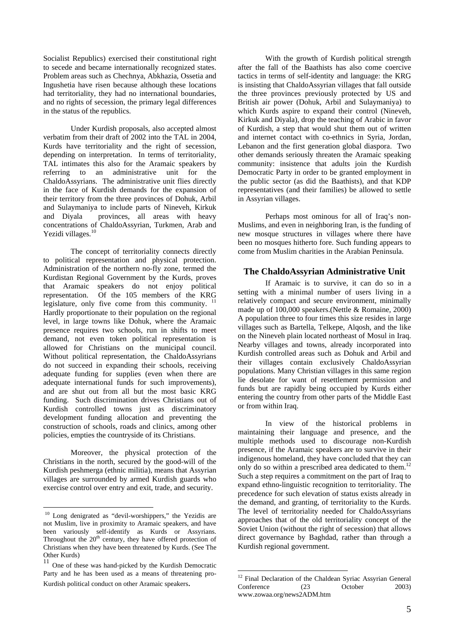Socialist Republics) exercised their constitutional right to secede and became internationally recognized states. Problem areas such as Chechnya, Abkhazia, Ossetia and Ingushetia have risen because although these locations had territoriality, they had no international boundaries, and no rights of secession, the primary legal differences in the status of the republics.

Under Kurdish proposals, also accepted almost verbatim from their draft of 2002 into the TAL in 2004, Kurds have territoriality and the right of secession, depending on interpretation. In terms of territoriality, TAL intimates this also for the Aramaic speakers by referring to an administrative unit for the ChaldoAssyrians. The administrative unit flies directly in the face of Kurdish demands for the expansion of their territory from the three provinces of Dohuk, Arbil and Sulaymaniya to include parts of Nineveh, Kirkuk and Diyala provinces, all areas with heavy concentrations of ChaldoAssyrian, Turkmen, Arab and Yezidi villages.<sup>10</sup>

The concept of territoriality connects directly to political representation and physical protection. Administration of the northern no-fly zone, termed the Kurdistan Regional Government by the Kurds, proves that Aramaic speakers do not enjoy political representation. Of the 105 members of the KRG legislature, only five come from this community.  $11$ Hardly proportionate to their population on the regional level, in large towns like Dohuk, where the Aramaic presence requires two schools, run in shifts to meet demand, not even token political representation is allowed for Christians on the municipal council. Without political representation, the ChaldoAssyrians do not succeed in expanding their schools, receiving adequate funding for supplies (even when there are adequate international funds for such improvements), and are shut out from all but the most basic KRG funding. Such discrimination drives Christians out of Kurdish controlled towns just as discriminatory development funding allocation and preventing the construction of schools, roads and clinics, among other policies, empties the countryside of its Christians.

Moreover, the physical protection of the Christians in the north, secured by the good-will of the Kurdish peshmerga (ethnic militia), means that Assyrian villages are surrounded by armed Kurdish guards who exercise control over entry and exit, trade, and security.

 $\overline{a}$ 

With the growth of Kurdish political strength after the fall of the Baathists has also come coercive tactics in terms of self-identity and language: the KRG is insisting that ChaldoAssyrian villages that fall outside the three provinces previously protected by US and British air power (Dohuk, Arbil and Sulaymaniya) to which Kurds aspire to expand their control (Nineveh, Kirkuk and Diyala), drop the teaching of Arabic in favor of Kurdish, a step that would shut them out of written and internet contact with co-ethnics in Syria, Jordan, Lebanon and the first generation global diaspora. Two other demands seriously threaten the Aramaic speaking community: insistence that adults join the Kurdish Democratic Party in order to be granted employment in the public sector (as did the Baathists), and that KDP representatives (and their families) be allowed to settle in Assyrian villages.

Perhaps most ominous for all of Iraq's non-Muslims, and even in neighboring Iran, is the funding of new mosque structures in villages where there have been no mosques hitherto fore. Such funding appears to come from Muslim charities in the Arabian Peninsula.

#### **The ChaldoAssyrian Administrative Unit**

If Aramaic is to survive, it can do so in a setting with a minimal number of users living in a relatively compact and secure environment, minimally made up of 100,000 speakers.(Nettle & Romaine, 2000) A population three to four times this size resides in large villages such as Bartella, Telkepe, Alqosh, and the like on the Nineveh plain located northeast of Mosul in Iraq. Nearby villages and towns, already incorporated into Kurdish controlled areas such as Dohuk and Arbil and their villages contain exclusively ChaldoAssyrian populations. Many Christian villages in this same region lie desolate for want of resettlement permission and funds but are rapidly being occupied by Kurds either entering the country from other parts of the Middle East or from within Iraq.

In view of the historical problems in maintaining their language and presence, and the multiple methods used to discourage non-Kurdish presence, if the Aramaic speakers are to survive in their indigenous homeland, they have concluded that they can only do so within a prescribed area dedicated to them.<sup>12</sup> Such a step requires a commitment on the part of Iraq to expand ethno-linguistic recognition to territoriality. The precedence for such elevation of status exists already in the demand, and granting, of territoriality to the Kurds. The level of territoriality needed for ChaldoAssyrians approaches that of the old territoriality concept of the Soviet Union (without the right of secession) that allows direct governance by Baghdad, rather than through a Kurdish regional government.

<sup>&</sup>lt;sup>10</sup> Long denigrated as "devil-worshippers," the Yezidis are not Muslim, live in proximity to Aramaic speakers, and have been variously self-identify as Kurds or Assyrians. Throughout the 20<sup>th</sup> century, they have offered protection of Christians when they have been threatened by Kurds. (See The Other Kurds)

One of these was hand-picked by the Kurdish Democratic Party and he has been used as a means of threatening pro-Kurdish political conduct on other Aramaic speakers.

 $\overline{a}$ <sup>12</sup> Final Declaration of the Chaldean Syriac Assyrian General Conference (23 October 2003) www.zowaa.org/news2ADM.htm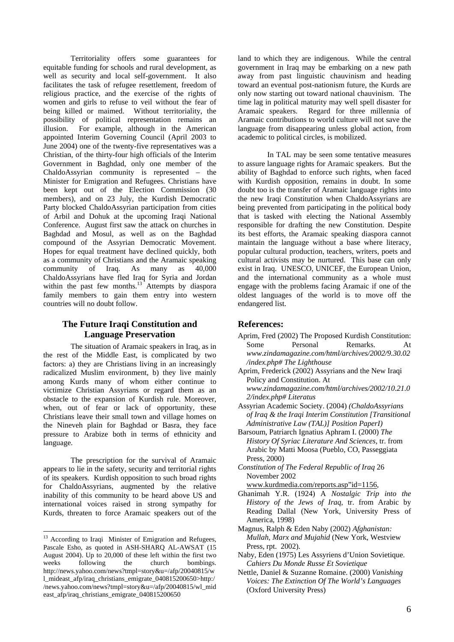Territoriality offers some guarantees for equitable funding for schools and rural development, as well as security and local self-government. It also facilitates the task of refugee resettlement, freedom of religious practice, and the exercise of the rights of women and girls to refuse to veil without the fear of being killed or maimed. Without territoriality, the possibility of political representation remains an illusion. For example, although in the American appointed Interim Governing Council (April 2003 to June 2004) one of the twenty-five representatives was a Christian, of the thirty-four high officials of the Interim Government in Baghdad, only one member of the ChaldoAssyrian community is represented – the Minister for Emigration and Refugees. Christians have been kept out of the Election Commission (30 members), and on 23 July, the Kurdish Democratic Party blocked ChaldoAssyrian participation from cities of Arbil and Dohuk at the upcoming Iraqi National Conference. August first saw the attack on churches in Baghdad and Mosul, as well as on the Baghdad compound of the Assyrian Democratic Movement. Hopes for equal treatment have declined quickly, both as a community of Christians and the Aramaic speaking community of Iraq. As many as 40,000 ChaldoAssyrians have fled Iraq for Syria and Jordan within the past few months.<sup>13</sup> Attempts by diaspora family members to gain them entry into western countries will no doubt follow.

# **The Future Iraqi Constitution and Language Preservation**

The situation of Aramaic speakers in Iraq, as in the rest of the Middle East, is complicated by two factors: a) they are Christians living in an increasingly radicalized Muslim environment, b) they live mainly among Kurds many of whom either continue to victimize Christian Assyrians or regard them as an obstacle to the expansion of Kurdish rule. Moreover, when, out of fear or lack of opportunity, these Christians leave their small town and village homes on the Nineveh plain for Baghdad or Basra, they face pressure to Arabize both in terms of ethnicity and language.

The prescription for the survival of Aramaic appears to lie in the safety, security and territorial rights of its speakers. Kurdish opposition to such broad rights for ChaldoAssyrians, augmented by the relative inability of this community to be heard above US and international voices raised in strong sympathy for Kurds, threaten to force Aramaic speakers out of the

 $\overline{a}$ 

land to which they are indigenous. While the central government in Iraq may be embarking on a new path away from past linguistic chauvinism and heading toward an eventual post-nationism future, the Kurds are only now starting out toward national chauvinism. The time lag in political maturity may well spell disaster for Aramaic speakers. Regard for three millennia of Aramaic contributions to world culture will not save the language from disappearing unless global action, from academic to political circles, is mobilized.

In TAL may be seen some tentative measures to assure language rights for Aramaic speakers. But the ability of Baghdad to enforce such rights, when faced with Kurdish opposition, remains in doubt. In some doubt too is the transfer of Aramaic language rights into the new Iraqi Constitution when ChaldoAssyrians are being prevented from participating in the political body that is tasked with electing the National Assembly responsible for drafting the new Constitution. Despite its best efforts, the Aramaic speaking diaspora cannot maintain the language without a base where literacy, popular cultural production, teachers, writers, poets and cultural activists may be nurtured. This base can only exist in Iraq. UNESCO, UNICEF, the European Union, and the international community as a whole must engage with the problems facing Aramaic if one of the oldest languages of the world is to move off the endangered list.

# **References:**

- Aprim, Fred (2002) The Proposed Kurdish Constitution: Some Personal Remarks. At *www.zindamagazine.com/html/archives/2002/9.30.02 /index.php# The Lighthouse*
- Aprim, Frederick (2002) Assyrians and the New Iraqi Policy and Constitution. At *www.zindamagazine.com/html/archives/2002/10.21.0 2/index.php# Literatus*
- Assyrian Academic Society. (2004) *(ChaldoAssyrians of Iraq & the Iraqi Interim Constitution [Transitional Administrative Law (TAL)] Position PaperI)*
- Barsoum, Patriarch Ignatius Aphram I. (2000) *The History Of Syriac Literature And Sciences,* tr. from Arabic by Matti Moosa (Pueblo, CO, Passeggiata Press, 2000)
- *Constitution of The Federal Republic of Iraq* 26 November 2002

www.kurdmedia.com/reports.asp"id=1156,

- Ghanimah Y.R. (1924) A *Nostalgic Trip into the History of the Jews of Iraq*, tr. from Arabic by Reading Dallal (New York, University Press of America, 1998)
- Magnus, Ralph & Eden Naby (2002) *Afghanistan: Mullah, Marx and Mujahid* (New York, Westview Press, rpt. 2002).
- Naby, Eden (1975) Les Assyriens d'Union Sovietique. *Cahiers Du Monde Russe Et Sovietique*

<sup>&</sup>lt;sup>13</sup> According to Iraqi Minister of Emigration and Refugees, Pascale Esho, as quoted in ASH-SHARQ AL-AWSAT (15 August 2004). Up to 20,000 of these left within the first two weeks following the church bombings. weeks following the church bombings. http://news.yahoo.com/news?tmpl=story&u=/afp/20040815/w l\_mideast\_afp/iraq\_christians\_emigrate\_040815200650>http:/ /news.yahoo.com/news?tmpl=story&u=/afp/20040815/wl\_mid east\_afp/iraq\_christians\_emigrate\_040815200650

Nettle, Daniel & Suzanne Romaine. (2000) *Vanishing Voices: The Extinction Of The World's Languages* (Oxford University Press)